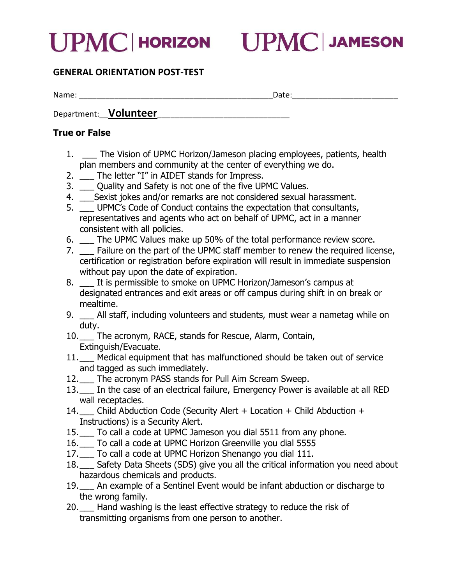

## GENERAL ORIENTATION POST-TEST

Name: \_\_\_\_\_\_\_\_\_\_\_\_\_\_\_\_\_\_\_\_\_\_\_\_\_\_\_\_\_\_\_\_\_\_\_\_\_\_\_\_\_\_\_\_Date:\_\_\_\_\_\_\_\_\_\_\_\_\_\_\_\_\_\_\_\_\_\_\_\_

Department: **Volunteer** 

## True or False

- 1. \_\_ The Vision of UPMC Horizon/Jameson placing employees, patients, health plan members and community at the center of everything we do.
- 2. \_\_ The letter "I" in AIDET stands for Impress.
- 3. \_\_ Quality and Safety is not one of the five UPMC Values.
- 4. \_\_\_Sexist jokes and/or remarks are not considered sexual harassment.
- 5. \_\_\_ UPMC's Code of Conduct contains the expectation that consultants, representatives and agents who act on behalf of UPMC, act in a manner consistent with all policies.
- 6. \_\_\_ The UPMC Values make up 50% of the total performance review score.
- 7. \_\_\_ Failure on the part of the UPMC staff member to renew the required license, certification or registration before expiration will result in immediate suspension without pay upon the date of expiration.
- 8. \_\_ It is permissible to smoke on UPMC Horizon/Jameson's campus at designated entrances and exit areas or off campus during shift in on break or mealtime.
- 9. \_\_ All staff, including volunteers and students, must wear a nametag while on duty.
- 10.\_\_\_ The acronym, RACE, stands for Rescue, Alarm, Contain, Extinguish/Evacuate.
- 11.\_\_\_ Medical equipment that has malfunctioned should be taken out of service and tagged as such immediately.
- 12.\_\_ The acronym PASS stands for Pull Aim Scream Sweep.
- 13.\_\_\_ In the case of an electrical failure, Emergency Power is available at all RED wall receptacles.
- 14.\_\_\_ Child Abduction Code (Security Alert + Location + Child Abduction + Instructions) is a Security Alert.
- 15.\_\_\_ To call a code at UPMC Jameson you dial 5511 from any phone.
- 16.\_\_\_ To call a code at UPMC Horizon Greenville you dial 5555
- 17.\_\_\_ To call a code at UPMC Horizon Shenango you dial 111.
- 18.\_\_ Safety Data Sheets (SDS) give you all the critical information you need about hazardous chemicals and products.
- 19.\_\_\_ An example of a Sentinel Event would be infant abduction or discharge to the wrong family.
- 20.\_\_\_ Hand washing is the least effective strategy to reduce the risk of transmitting organisms from one person to another.